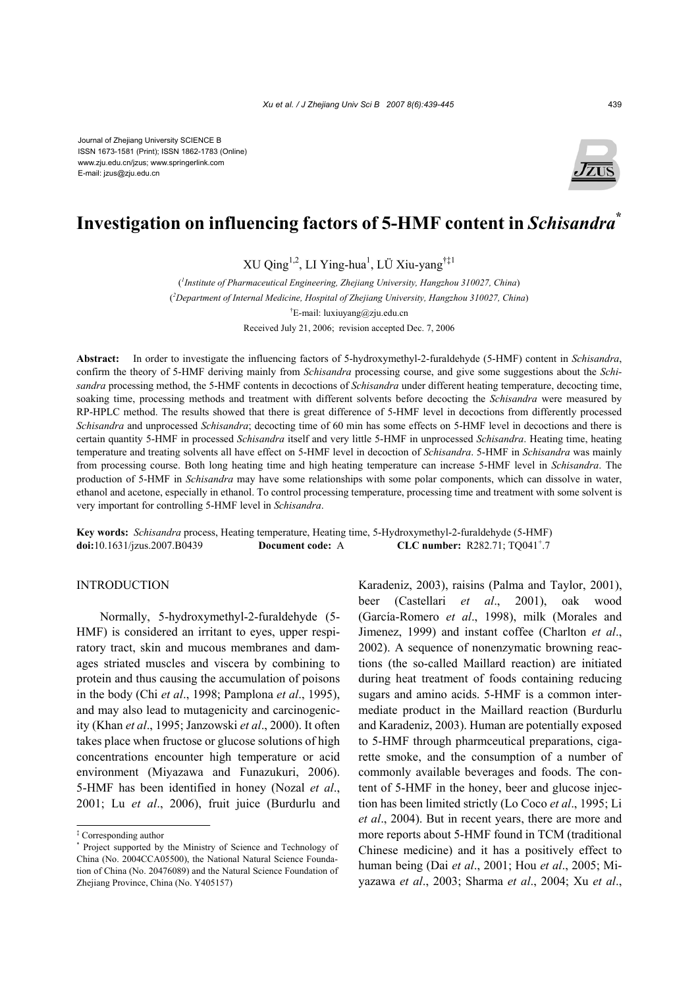Journal of Zhejiang University SCIENCE B ISSN 1673-1581 (Print); ISSN 1862-1783 (Online) www.zju.edu.cn/jzus; www.springerlink.com E-mail: jzus@zju.edu.cn



# **Investigation on influencing factors of 5-HMF content in** *Schisandra***\***

XU Qing<sup>1,2</sup>, LI Ying-hua<sup>1</sup>, LÜ Xiu-yang<sup>†‡1</sup>

( *1 Institute of Pharmaceutical Engineering, Zhejiang University, Hangzhou 310027, China*) ( *2 Department of Internal Medicine, Hospital of Zhejiang University, Hangzhou 310027, China*) † E-mail: luxiuyang@zju.edu.cn Received July 21, 2006; revision accepted Dec. 7, 2006

**Abstract:** In order to investigate the influencing factors of 5-hydroxymethyl-2-furaldehyde (5-HMF) content in *Schisandra*, confirm the theory of 5-HMF deriving mainly from *Schisandra* processing course, and give some suggestions about the *Schisandra* processing method, the 5-HMF contents in decoctions of *Schisandra* under different heating temperature, decocting time, soaking time, processing methods and treatment with different solvents before decocting the *Schisandra* were measured by RP-HPLC method. The results showed that there is great difference of 5-HMF level in decoctions from differently processed *Schisandra* and unprocessed *Schisandra*; decocting time of 60 min has some effects on 5-HMF level in decoctions and there is certain quantity 5-HMF in processed *Schisandra* itself and very little 5-HMF in unprocessed *Schisandra*. Heating time, heating temperature and treating solvents all have effect on 5-HMF level in decoction of *Schisandra*. 5-HMF in *Schisandra* was mainly from processing course. Both long heating time and high heating temperature can increase 5-HMF level in *Schisandra*. The production of 5-HMF in *Schisandra* may have some relationships with some polar components, which can dissolve in water, ethanol and acetone, especially in ethanol. To control processing temperature, processing time and treatment with some solvent is very important for controlling 5-HMF level in *Schisandra*.

**Key words:** *Schisandra* process, Heating temperature, Heating time, 5-Hydroxymethyl-2-furaldehyde (5-HMF) **doi:**10.1631/jzus.2007.B0439 **Document code:** A **CLC number:** R282.71; TQ041<sup>+</sup>.7

# INTRODUCTION

Normally, 5-hydroxymethyl-2-furaldehyde (5- HMF) is considered an irritant to eyes, upper respiratory tract, skin and mucous membranes and damages striated muscles and viscera by combining to protein and thus causing the accumulation of poisons in the body (Chi *et al*., 1998; Pamplona *et al*., 1995), and may also lead to mutagenicity and carcinogenicity (Khan *et al*., 1995; Janzowski *et al*., 2000). It often takes place when fructose or glucose solutions of high concentrations encounter high temperature or acid environment (Miyazawa and Funazukuri, 2006). 5-HMF has been identified in honey (Nozal *et al*., 2001; Lu *et al*., 2006), fruit juice (Burdurlu and

Karadeniz, 2003), raisins (Palma and Taylor, 2001), beer (Castellari *et al*., 2001), oak wood (García-Romero *et al*., 1998), milk (Morales and Jimenez, 1999) and instant coffee (Charlton *et al*., 2002). A sequence of nonenzymatic browning reactions (the so-called Maillard reaction) are initiated during heat treatment of foods containing reducing sugars and amino acids. 5-HMF is a common intermediate product in the Maillard reaction (Burdurlu and Karadeniz, 2003). Human are potentially exposed to 5-HMF through pharmceutical preparations, cigarette smoke, and the consumption of a number of commonly available beverages and foods. The content of 5-HMF in the honey, beer and glucose injection has been limited strictly (Lo Coco *et al*., 1995; Li *et al*., 2004). But in recent years, there are more and more reports about 5-HMF found in TCM (traditional Chinese medicine) and it has a positively effect to human being (Dai *et al*., 2001; Hou *et al*., 2005; Miyazawa *et al*., 2003; Sharma *et al*., 2004; Xu *et al*.,

<sup>‡</sup> Corresponding author

<sup>\*</sup> Project supported by the Ministry of Science and Technology of China (No. 2004CCA05500), the National Natural Science Foundation of China (No. 20476089) and the Natural Science Foundation of Zhejiang Province, China (No. Y405157)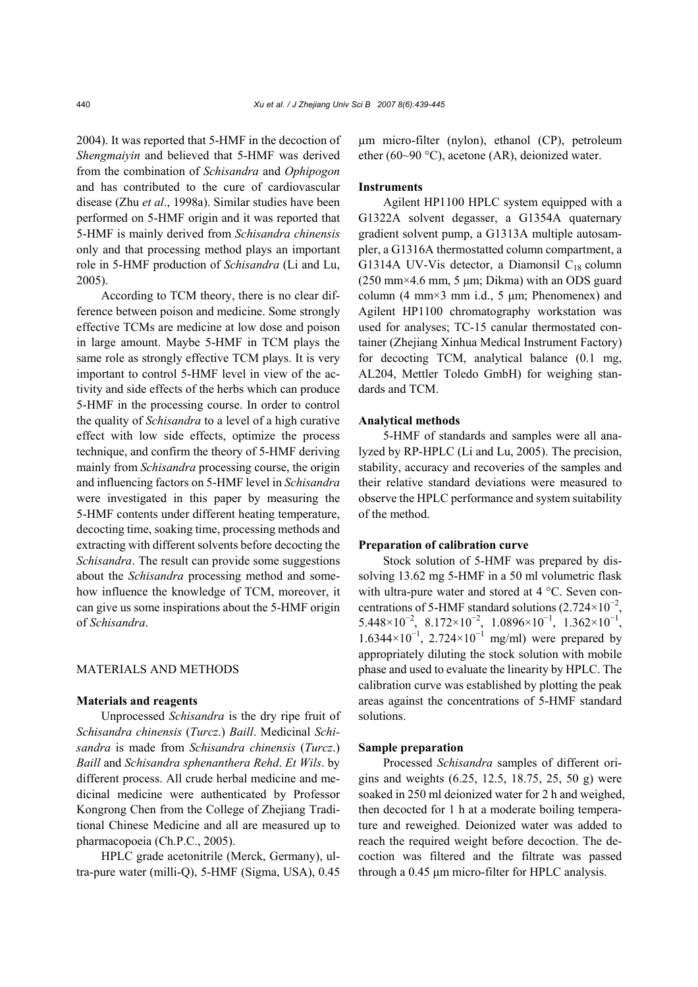2004). It was reported that 5-HMF in the decoction of *Shengmaiyin* and believed that 5-HMF was derived from the combination of *Schisandra* and *Ophipogon* and has contributed to the cure of cardiovascular disease (Zhu *et al*., 1998a). Similar studies have been performed on 5-HMF origin and it was reported that 5-HMF is mainly derived from *Schisandra chinensis* only and that processing method plays an important role in 5-HMF production of *Schisandra* (Li and Lu, 2005).

According to TCM theory, there is no clear difference between poison and medicine. Some strongly effective TCMs are medicine at low dose and poison in large amount. Maybe 5-HMF in TCM plays the same role as strongly effective TCM plays. It is very important to control 5-HMF level in view of the activity and side effects of the herbs which can produce 5-HMF in the processing course. In order to control the quality of *Schisandra* to a level of a high curative effect with low side effects, optimize the process technique, and confirm the theory of 5-HMF deriving mainly from *Schisandra* processing course, the origin and influencing factors on 5-HMF level in *Schisandra* were investigated in this paper by measuring the 5-HMF contents under different heating temperature, decocting time, soaking time, processing methods and extracting with different solvents before decocting the *Schisandra*. The result can provide some suggestions about the *Schisandra* processing method and somehow influence the knowledge of TCM, moreover, it can give us some inspirations about the 5-HMF origin of *Schisandra*.

## MATERIALS AND METHODS

#### **Materials and reagents**

Unprocessed *Schisandra* is the dry ripe fruit of *Schisandra chinensis* (*Turcz*.) *Baill*. Medicinal *Schisandra* is made from *Schisandra chinensis* (*Turcz*.) *Baill* and *Schisandra sphenanthera Rehd*. *Et Wils*. by different process. All crude herbal medicine and medicinal medicine were authenticated by Professor Kongrong Chen from the College of Zhejiang Traditional Chinese Medicine and all are measured up to pharmacopoeia (Ch.P.C., 2005).

HPLC grade acetonitrile (Merck, Germany), ultra-pure water (milli-Q), 5-HMF (Sigma, USA), 0.45 µm micro-filter (nylon), ethanol (CP), petroleum ether (60~90 °C), acetone (AR), deionized water.

#### **Instruments**

Agilent HP1100 HPLC system equipped with a G1322A solvent degasser, a G1354A quaternary gradient solvent pump, a G1313A multiple autosampler, a G1316A thermostatted column compartment, a G1314A UV-Vis detector, a Diamonsil  $C_{18}$  column (250 mm×4.6 mm, 5 µm; Dikma) with an ODS guard column  $(4 \text{ mm} \times 3 \text{ mm} \text{ i.d., } 5 \text{ µm}$ ; Phenomenex) and Agilent HP1100 chromatography workstation was used for analyses; TC-15 canular thermostated container (Zhejiang Xinhua Medical Instrument Factory) for decocting TCM, analytical balance (0.1 mg, AL204, Mettler Toledo GmbH) for weighing standards and TCM.

#### **Analytical methods**

5-HMF of standards and samples were all analyzed by RP-HPLC (Li and Lu, 2005). The precision, stability, accuracy and recoveries of the samples and their relative standard deviations were measured to observe the HPLC performance and system suitability of the method.

#### **Preparation of calibration curve**

Stock solution of 5-HMF was prepared by dissolving 13.62 mg 5-HMF in a 50 ml volumetric flask with ultra-pure water and stored at 4 °C. Seven concentrations of 5-HMF standard solutions  $(2.724 \times 10^{-2})$ ,  $5.448 \times 10^{-2}$ ,  $8.172 \times 10^{-2}$ ,  $1.0896 \times 10^{-1}$ ,  $1.362 \times 10^{-1}$ , 1.6344×10<sup>-1</sup>, 2.724×10<sup>-1</sup> mg/ml) were prepared by appropriately diluting the stock solution with mobile phase and used to evaluate the linearity by HPLC. The calibration curve was established by plotting the peak areas against the concentrations of 5-HMF standard solutions.

#### **Sample preparation**

Processed *Schisandra* samples of different origins and weights (6.25, 12.5, 18.75, 25, 50 g) were soaked in 250 ml deionized water for 2 h and weighed, then decocted for 1 h at a moderate boiling temperature and reweighed. Deionized water was added to reach the required weight before decoction. The decoction was filtered and the filtrate was passed through a 0.45 µm micro-filter for HPLC analysis.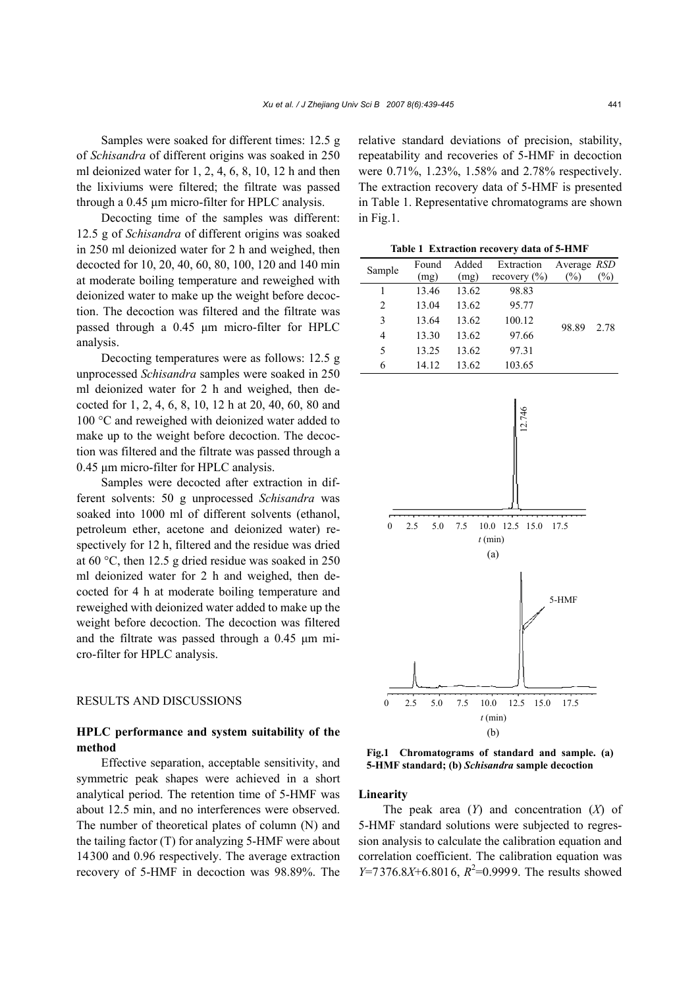Samples were soaked for different times: 12.5 g of *Schisandra* of different origins was soaked in 250 ml deionized water for 1, 2, 4, 6, 8, 10, 12 h and then the lixiviums were filtered; the filtrate was passed through a 0.45 um micro-filter for HPLC analysis.

Decocting time of the samples was different: 12.5 g of *Schisandra* of different origins was soaked in 250 ml deionized water for 2 h and weighed, then decocted for 10, 20, 40, 60, 80, 100, 120 and 140 min at moderate boiling temperature and reweighed with deionized water to make up the weight before decoction. The decoction was filtered and the filtrate was passed through a 0.45 µm micro-filter for HPLC analysis.

Decocting temperatures were as follows: 12.5 g unprocessed *Schisandra* samples were soaked in 250 ml deionized water for 2 h and weighed, then decocted for 1, 2, 4, 6, 8, 10, 12 h at 20, 40, 60, 80 and 100 °C and reweighed with deionized water added to make up to the weight before decoction. The decoction was filtered and the filtrate was passed through a 0.45 µm micro-filter for HPLC analysis.

Samples were decocted after extraction in different solvents: 50 g unprocessed *Schisandra* was soaked into 1000 ml of different solvents (ethanol, petroleum ether, acetone and deionized water) respectively for 12 h, filtered and the residue was dried at 60 °C, then 12.5 g dried residue was soaked in 250 ml deionized water for 2 h and weighed, then decocted for 4 h at moderate boiling temperature and reweighed with deionized water added to make up the weight before decoction. The decoction was filtered and the filtrate was passed through a 0.45 µm micro-filter for HPLC analysis.

# RESULTS AND DISCUSSIONS

# **HPLC performance and system suitability of the method**

Effective separation, acceptable sensitivity, and symmetric peak shapes were achieved in a short analytical period. The retention time of 5-HMF was about 12.5 min, and no interferences were observed. The number of theoretical plates of column (N) and the tailing factor (T) for analyzing 5-HMF were about 14300 and 0.96 respectively. The average extraction recovery of 5-HMF in decoction was 98.89%. The

relative standard deviations of precision, stability, repeatability and recoveries of 5-HMF in decoction were 0.71%, 1.23%, 1.58% and 2.78% respectively. The extraction recovery data of 5-HMF is presented in Table 1. Representative chromatograms are shown in Fig.1.

**Table 1 Extraction recovery data of 5-HMF**

| Sample         | Found | Added | Extraction       | Average RSD |        |
|----------------|-------|-------|------------------|-------------|--------|
|                | (mg)  | (mg)  | recovery $(\% )$ | $(\%)$      | $(\%)$ |
|                | 13.46 | 13.62 | 98.83            |             |        |
| $\overline{c}$ | 13.04 | 13.62 | 95.77            |             |        |
| 3              | 13.64 | 13.62 | 100.12           | 98.89       | 2.78   |
| 4              | 13.30 | 13.62 | 97.66            |             |        |
| 5              | 13.25 | 13.62 | 97.31            |             |        |
| 6              | 14.12 | 13.62 | 103.65           |             |        |
|                |       |       |                  |             |        |



**Fig.1 Chromatograms of standard and sample. (a) 5-HMF standard; (b)** *Schisandra* **sample decoction** 

#### **Linearity**

The peak area (*Y*) and concentration (*X*) of 5-HMF standard solutions were subjected to regression analysis to calculate the calibration equation and correlation coefficient. The calibration equation was *Y*=7376.8*X*+6.8016,  $R^2$ =0.9999. The results showed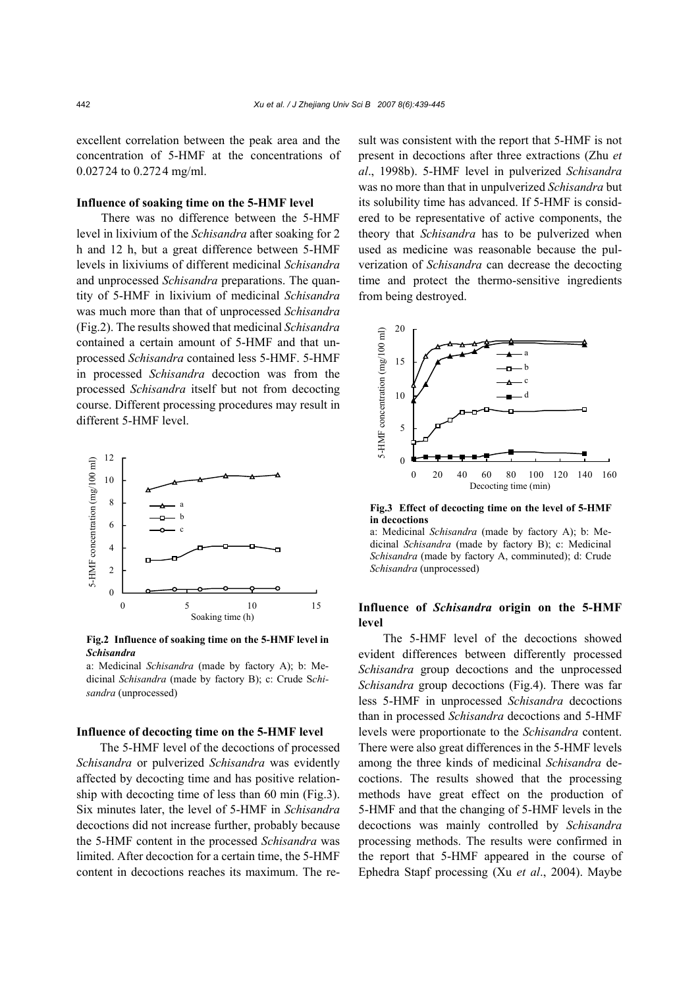excellent correlation between the peak area and the concentration of 5-HMF at the concentrations of 0.02724 to 0.2724 mg/ml.

# **Influence of soaking time on the 5-HMF level**

There was no difference between the 5-HMF level in lixivium of the *Schisandra* after soaking for 2 h and 12 h, but a great difference between 5-HMF levels in lixiviums of different medicinal *Schisandra* and unprocessed *Schisandra* preparations. The quantity of 5-HMF in lixivium of medicinal *Schisandra* was much more than that of unprocessed *Schisandra* (Fig.2). The results showed that medicinal *Schisandra* contained a certain amount of 5-HMF and that unprocessed *Schisandra* contained less 5-HMF. 5-HMF in processed *Schisandra* decoction was from the processed *Schisandra* itself but not from decocting course. Different processing procedures may result in different 5-HMF level.



**Fig.2 Influence of soaking time on the 5-HMF level in** *Schisandra*

a: Medicinal *Schisandra* (made by factory A); b: Medicinal *Schisandra* (made by factory B); c: Crude S*chisandra* (unprocessed)

#### **Influence of decocting time on the 5-HMF level**

The 5-HMF level of the decoctions of processed *Schisandra* or pulverized *Schisandra* was evidently affected by decocting time and has positive relationship with decocting time of less than 60 min (Fig.3). Six minutes later, the level of 5-HMF in *Schisandra*  decoctions did not increase further, probably because the 5-HMF content in the processed *Schisandra* was limited. After decoction for a certain time, the 5-HMF content in decoctions reaches its maximum. The result was consistent with the report that 5-HMF is not present in decoctions after three extractions (Zhu *et al*., 1998b). 5-HMF level in pulverized *Schisandra* was no more than that in unpulverized *Schisandra* but its solubility time has advanced. If 5-HMF is considered to be representative of active components, the theory that *Schisandra* has to be pulverized when used as medicine was reasonable because the pulverization of *Schisandra* can decrease the decocting time and protect the thermo-sensitive ingredients from being destroyed.



**Fig.3 Effect of decocting time on the level of 5-HMF in decoctions** 

a: Medicinal *Schisandra* (made by factory A); b: Medicinal *Schisandra* (made by factory B); c: Medicinal *Schisandra* (made by factory A, comminuted); d: Crude *Schisandra* (unprocessed)

# **Influence of** *Schisandra* **origin on the 5-HMF level**

The 5-HMF level of the decoctions showed evident differences between differently processed *Schisandra* group decoctions and the unprocessed *Schisandra* group decoctions (Fig.4). There was far less 5-HMF in unprocessed *Schisandra* decoctions than in processed *Schisandra* decoctions and 5-HMF levels were proportionate to the *Schisandra* content. There were also great differences in the 5-HMF levels among the three kinds of medicinal *Schisandra* decoctions. The results showed that the processing methods have great effect on the production of 5-HMF and that the changing of 5-HMF levels in the decoctions was mainly controlled by *Schisandra* processing methods. The results were confirmed in the report that 5-HMF appeared in the course of Ephedra Stapf processing (Xu *et al*., 2004). Maybe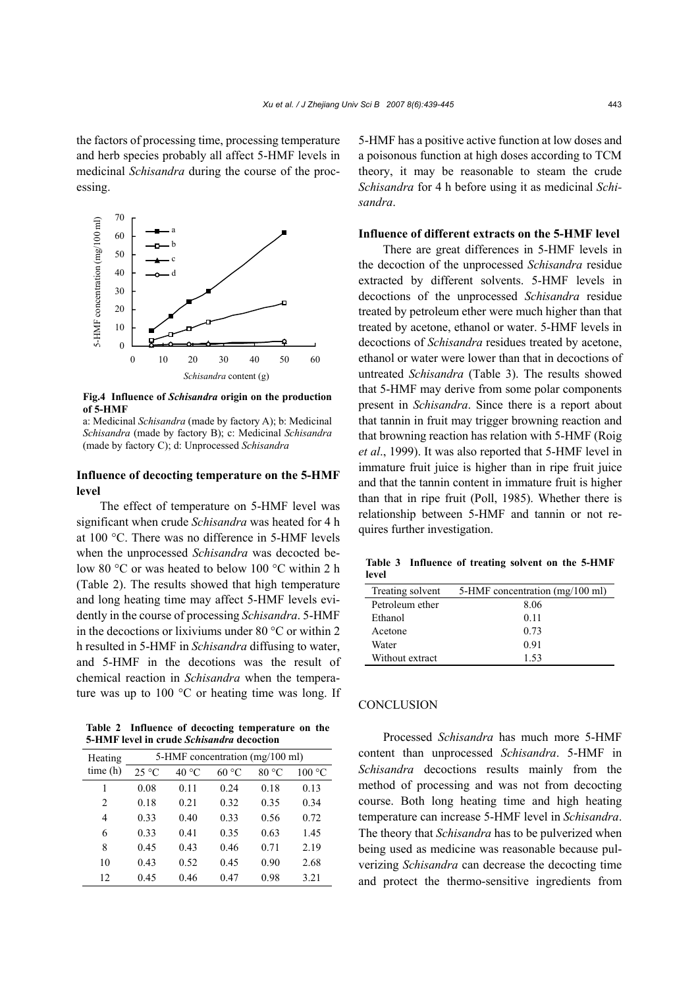the factors of processing time, processing temperature and herb species probably all affect 5-HMF levels in medicinal *Schisandra* during the course of the processing.



**Fig.4 Influence of** *Schisandra* **origin on the production of 5-HMF** 

a: Medicinal *Schisandra* (made by factory A); b: Medicinal *Schisandra* (made by factory B); c: Medicinal *Schisandra* (made by factory C); d: Unprocessed *Schisandra*

# **Influence of decocting temperature on the 5-HMF level**

The effect of temperature on 5-HMF level was significant when crude *Schisandra* was heated for 4 h at 100 °C. There was no difference in 5-HMF levels when the unprocessed *Schisandra* was decocted below 80 °C or was heated to below 100 °C within 2 h (Table 2). The results showed that high temperature and long heating time may affect 5-HMF levels evidently in the course of processing *Schisandra*. 5-HMF in the decoctions or lixiviums under 80 °C or within 2 h resulted in 5-HMF in *Schisandra* diffusing to water, and 5-HMF in the decotions was the result of chemical reaction in *Schisandra* when the temperature was up to  $100^{\circ}$ C or heating time was long. If

**Table 2 Influence of decocting temperature on the 5-HMF level in crude** *Schisandra* **decoction**

| Heating        | 5-HMF concentration (mg/100 ml) |                |       |       |        |  |
|----------------|---------------------------------|----------------|-------|-------|--------|--|
| time(h)        | $25 \text{ °C}$                 | $40^{\circ}$ C | 60 °C | 80 °C | 100 °C |  |
| 1              | 0.08                            | 0.11           | 0.24  | 0.18  | 0.13   |  |
| $\overline{c}$ | 0.18                            | 0.21           | 0.32  | 0.35  | 0.34   |  |
| 4              | 0.33                            | 0.40           | 0.33  | 0.56  | 0.72   |  |
| 6              | 0.33                            | 0.41           | 0.35  | 0.63  | 1.45   |  |
| 8              | 0.45                            | 0.43           | 0.46  | 0.71  | 2.19   |  |
| 10             | 0.43                            | 0.52           | 0.45  | 0.90  | 2.68   |  |
| 12             | 0.45                            | 0.46           | 0.47  | 0.98  | 3.21   |  |

5-HMF has a positive active function at low doses and a poisonous function at high doses according to TCM theory, it may be reasonable to steam the crude *Schisandra* for 4 h before using it as medicinal *Schisandra*.

# **Influence of different extracts on the 5-HMF level**

There are great differences in 5-HMF levels in the decoction of the unprocessed *Schisandra* residue extracted by different solvents. 5-HMF levels in decoctions of the unprocessed *Schisandra* residue treated by petroleum ether were much higher than that treated by acetone, ethanol or water. 5-HMF levels in decoctions of *Schisandra* residues treated by acetone, ethanol or water were lower than that in decoctions of untreated *Schisandra* (Table 3). The results showed that 5-HMF may derive from some polar components present in *Schisandra*. Since there is a report about that tannin in fruit may trigger browning reaction and that browning reaction has relation with 5-HMF (Roig *et al*., 1999). It was also reported that 5-HMF level in immature fruit juice is higher than in ripe fruit juice and that the tannin content in immature fruit is higher than that in ripe fruit (Poll, 1985). Whether there is relationship between 5-HMF and tannin or not requires further investigation.

**Table 3 Influence of treating solvent on the 5-HMF level**

| Treating solvent | 5-HMF concentration (mg/100 ml) |
|------------------|---------------------------------|
| Petroleum ether  | 8.06                            |
| Ethanol          | 011                             |
| Acetone          | 0.73                            |
| Water            | 0.91                            |
| Without extract  | 1.53                            |

#### **CONCLUSION**

Processed *Schisandra* has much more 5-HMF content than unprocessed *Schisandra*. 5-HMF in *Schisandra* decoctions results mainly from the method of processing and was not from decocting course. Both long heating time and high heating temperature can increase 5-HMF level in *Schisandra*. The theory that *Schisandra* has to be pulverized when being used as medicine was reasonable because pulverizing *Schisandra* can decrease the decocting time and protect the thermo-sensitive ingredients from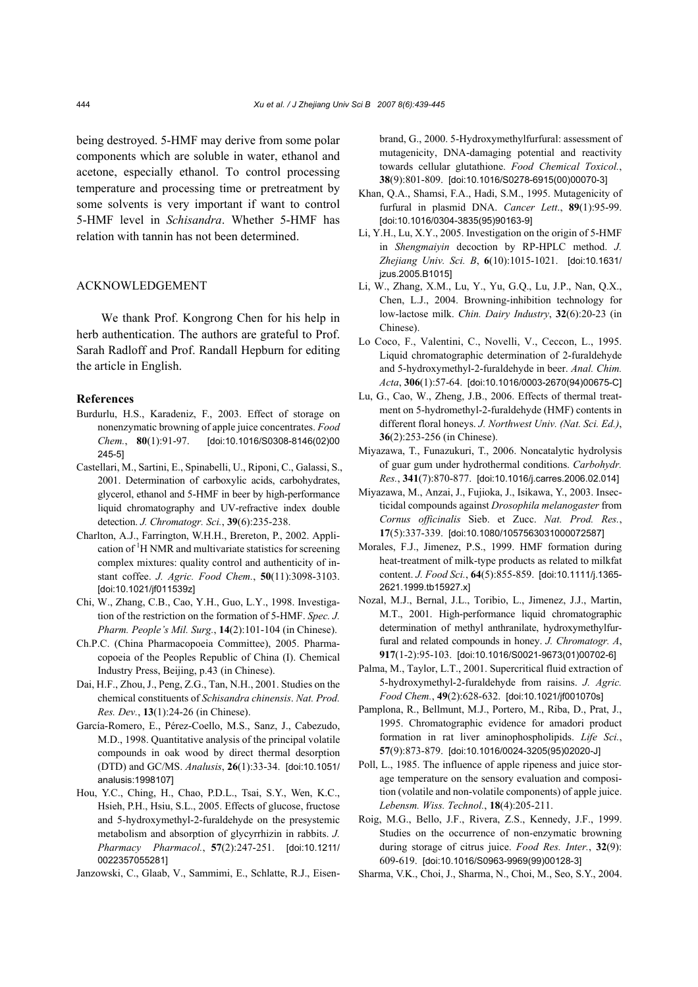being destroyed. 5-HMF may derive from some polar components which are soluble in water, ethanol and acetone, especially ethanol. To control processing temperature and processing time or pretreatment by some solvents is very important if want to control 5-HMF level in *Schisandra*. Whether 5-HMF has relation with tannin has not been determined.

#### ACKNOWLEDGEMENT

We thank Prof. Kongrong Chen for his help in herb authentication. The authors are grateful to Prof. Sarah Radloff and Prof. Randall Hepburn for editing the article in English.

#### **References**

- Burdurlu, H.S., Karadeniz, F., 2003. Effect of storage on nonenzymatic browning of apple juice concentrates. *Food Chem.*, **80**(1):91-97. [doi:10.1016/S0308-8146(02)00 245-5]
- Castellari, M., Sartini, E., Spinabelli, U., Riponi, C., Galassi, S., 2001. Determination of carboxylic acids, carbohydrates, glycerol, ethanol and 5-HMF in beer by high-performance liquid chromatography and UV-refractive index double detection. *J. Chromatogr. Sci.*, **39**(6):235-238.
- Charlton, A.J., Farrington, W.H.H., Brereton, P., 2002. Application of <sup>1</sup>H NMR and multivariate statistics for screening complex mixtures: quality control and authenticity of instant coffee. *J. Agric. Food Chem.*, **50**(11):3098-3103. [doi:10.1021/jf011539z]
- Chi, W., Zhang, C.B., Cao, Y.H., Guo, L.Y., 1998. Investigation of the restriction on the formation of 5-HMF. *Spec. J. Pharm. People's Mil. Surg.*, **14**(2):101-104 (in Chinese).
- Ch.P.C. (China Pharmacopoeia Committee), 2005. Pharmacopoeia of the Peoples Republic of China (I). Chemical Industry Press, Beijing, p.43 (in Chinese).
- Dai, H.F., Zhou, J., Peng, Z.G., Tan, N.H., 2001. Studies on the chemical constituents of *Schisandra chinensis*. *Nat. Prod. Res. Dev.*, **13**(1):24-26 (in Chinese).
- García-Romero, E., Pérez-Coello, M.S., Sanz, J., Cabezudo, M.D., 1998. Quantitative analysis of the principal volatile compounds in oak wood by direct thermal desorption (DTD) and GC/MS. *Analusis*, **26**(1):33-34. [doi:10.1051/ analusis:1998107]
- Hou, Y.C., Ching, H., Chao, P.D.L., Tsai, S.Y., Wen, K.C., Hsieh, P.H., Hsiu, S.L., 2005. Effects of glucose, fructose and 5-hydroxymethyl-2-furaldehyde on the presystemic metabolism and absorption of glycyrrhizin in rabbits. *J. Pharmacy Pharmacol.*, **57**(2):247-251. [doi:10.1211/ 0022357055281]
- Janzowski, C., Glaab, V., Sammimi, E., Schlatte, R.J., Eisen-

brand, G., 2000. 5-Hydroxymethylfurfural: assessment of mutagenicity, DNA-damaging potential and reactivity towards cellular glutathione. *Food Chemical Toxicol.*, **38**(9):801-809. [doi:10.1016/S0278-6915(00)00070-3]

- Khan, Q.A., Shamsi, F.A., Hadi, S.M., 1995. Mutagenicity of furfural in plasmid DNA. *Cancer Lett*., **89**(1):95-99. [doi:10.1016/0304-3835(95)90163-9]
- Li, Y.H., Lu, X.Y., 2005. Investigation on the origin of 5-HMF in *Shengmaiyin* decoction by RP-HPLC method. *J. Zhejiang Univ. Sci. B*, **6**(10):1015-1021. [doi:10.1631/ jzus.2005.B1015]
- Li, W., Zhang, X.M., Lu, Y., Yu, G.Q., Lu, J.P., Nan, Q.X., Chen, L.J., 2004. Browning-inhibition technology for low-lactose milk. *Chin. Dairy Industry*, **32**(6):20-23 (in Chinese).
- Lo Coco, F., Valentini, C., Novelli, V., Ceccon, L., 1995. Liquid chromatographic determination of 2-furaldehyde and 5-hydroxymethyl-2-furaldehyde in beer. *Anal. Chim. Acta*, **306**(1):57-64. [doi:10.1016/0003-2670(94)00675-C]
- Lu, G., Cao, W., Zheng, J.B., 2006. Effects of thermal treatment on 5-hydromethyl-2-furaldehyde (HMF) contents in different floral honeys. *J. Northwest Univ. (Nat. Sci. Ed.)*, **36**(2):253-256 (in Chinese).
- Miyazawa, T., Funazukuri, T., 2006. Noncatalytic hydrolysis of guar gum under hydrothermal conditions. *Carbohydr. Res.*, **341**(7):870-877. [doi:10.1016/j.carres.2006.02.014]
- Miyazawa, M., Anzai, J., Fujioka, J., Isikawa, Y., 2003. Insecticidal compounds against *Drosophila melanogaster* from *Cornus officinalis* Sieb. et Zucc. *Nat. Prod. Res.*, **17**(5):337-339. [doi:10.1080/1057563031000072587]
- Morales, F.J., Jimenez, P.S., 1999. HMF formation during heat-treatment of milk-type products as related to milkfat content. *J. Food Sci.*, **64**(5):855-859. [doi:10.1111/j.1365- 2621.1999.tb15927.x]
- Nozal, M.J., Bernal, J.L., Toribio, L., Jimenez, J.J., Martin, M.T., 2001. High-performance liquid chromatographic determination of methyl anthranilate, hydroxymethylfurfural and related compounds in honey. *J. Chromatogr. A*, **917**(1-2):95-103. [doi:10.1016/S0021-9673(01)00702-6]
- Palma, M., Taylor, L.T., 2001. Supercritical fluid extraction of 5-hydroxymethyl-2-furaldehyde from raisins. *J. Agric. Food Chem.*, **49**(2):628-632. [doi:10.1021/jf001070s]
- Pamplona, R., Bellmunt, M.J., Portero, M., Riba, D., Prat, J., 1995. Chromatographic evidence for amadori product formation in rat liver aminophospholipids. *Life Sci.*, **57**(9):873-879. [doi:10.1016/0024-3205(95)02020-J]
- Poll, L., 1985. The influence of apple ripeness and juice storage temperature on the sensory evaluation and composition (volatile and non-volatile components) of apple juice. *Lebensm. Wiss. Technol.*, **18**(4):205-211.
- Roig, M.G., Bello, J.F., Rivera, Z.S., Kennedy, J.F., 1999. Studies on the occurrence of non-enzymatic browning during storage of citrus juice. *Food Res. Inter.*, **32**(9): 609-619. [doi:10.1016/S0963-9969(99)00128-3]
- Sharma, V.K., Choi, J., Sharma, N., Choi, M., Seo, S.Y., 2004.